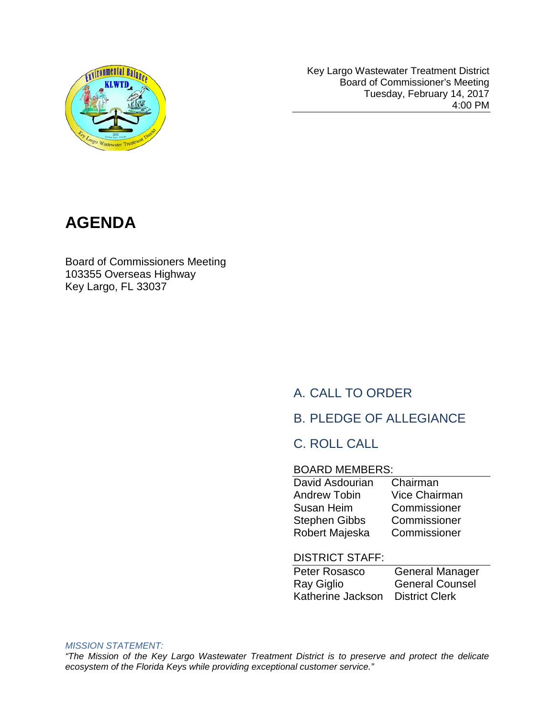

Key Largo Wastewater Treatment District Board of Commissioner's Meeting Tuesday, February 14, 2017 4:00 PM



Board of Commissioners Meeting 103355 Overseas Highway Key Largo, FL 33037

# A. CALL TO ORDER

### B. PLEDGE OF ALLEGIANCE

### C. ROLL CALL

#### BOARD MEMBERS:

| David Asdourian      | Chairman             |
|----------------------|----------------------|
| <b>Andrew Tobin</b>  | <b>Vice Chairman</b> |
| Susan Heim           | Commissioner         |
| <b>Stephen Gibbs</b> | Commissioner         |
| Robert Majeska       | Commissioner         |
|                      |                      |

#### DISTRICT STAFF:

| Peter Rosasco     | <b>General Manager</b> |
|-------------------|------------------------|
| Ray Giglio        | <b>General Counsel</b> |
| Katherine Jackson | <b>District Clerk</b>  |

#### *MISSION STATEMENT:*

*"The Mission of the Key Largo Wastewater Treatment District is to preserve and protect the delicate ecosystem of the Florida Keys while providing exceptional customer service."*